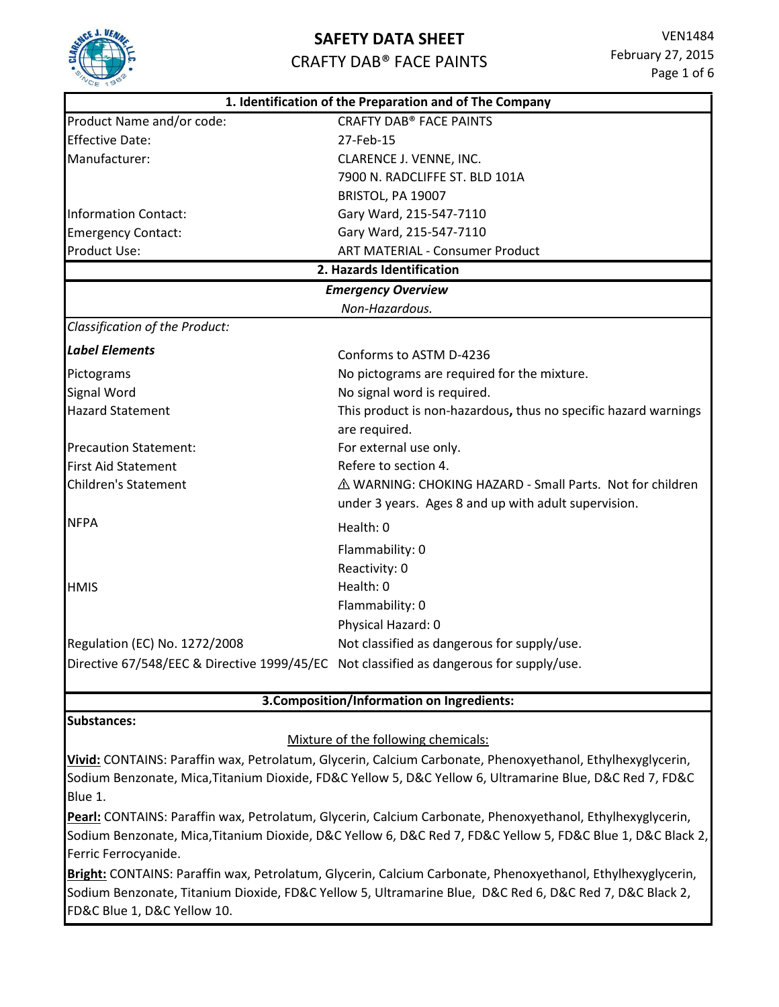

## **SAFETY DATA SHEET**

### CRAFTY DAB® FACE PAINTS

|                                                                                         | 1. Identification of the Preparation and of The Company         |
|-----------------------------------------------------------------------------------------|-----------------------------------------------------------------|
| Product Name and/or code:                                                               | <b>CRAFTY DAB<sup>®</sup> FACE PAINTS</b>                       |
| <b>Effective Date:</b>                                                                  | 27-Feb-15                                                       |
| Manufacturer:                                                                           | CLARENCE J. VENNE, INC.                                         |
|                                                                                         | 7900 N. RADCLIFFE ST. BLD 101A                                  |
|                                                                                         | BRISTOL, PA 19007                                               |
| <b>Information Contact:</b>                                                             | Gary Ward, 215-547-7110                                         |
| <b>Emergency Contact:</b>                                                               | Gary Ward, 215-547-7110                                         |
| Product Use:                                                                            | <b>ART MATERIAL - Consumer Product</b>                          |
|                                                                                         | 2. Hazards Identification                                       |
|                                                                                         | <b>Emergency Overview</b>                                       |
|                                                                                         | Non-Hazardous.                                                  |
| Classification of the Product:                                                          |                                                                 |
| <b>Label Elements</b>                                                                   | Conforms to ASTM D-4236                                         |
| Pictograms                                                                              | No pictograms are required for the mixture.                     |
| <b>Signal Word</b>                                                                      | No signal word is required.                                     |
| <b>Hazard Statement</b>                                                                 | This product is non-hazardous, thus no specific hazard warnings |
|                                                                                         | are required.                                                   |
| <b>Precaution Statement:</b>                                                            | For external use only.                                          |
| <b>First Aid Statement</b>                                                              | Refere to section 4.                                            |
| Children's Statement                                                                    | △ WARNING: CHOKING HAZARD - Small Parts. Not for children       |
|                                                                                         | under 3 years. Ages 8 and up with adult supervision.            |
| <b>NFPA</b>                                                                             | Health: 0                                                       |
|                                                                                         | Flammability: 0                                                 |
|                                                                                         | Reactivity: 0                                                   |
| <b>HMIS</b>                                                                             | Health: 0                                                       |
|                                                                                         | Flammability: 0                                                 |
|                                                                                         | Physical Hazard: 0                                              |
| Regulation (EC) No. 1272/2008                                                           | Not classified as dangerous for supply/use.                     |
| Directive 67/548/EEC & Directive 1999/45/EC Not classified as dangerous for supply/use. |                                                                 |
|                                                                                         |                                                                 |

### **3.Composition/Information on Ingredients:**

### **Substances:**

### Mixture of the following chemicals:

**Vivid:** CONTAINS: Paraffin wax, Petrolatum, Glycerin, Calcium Carbonate, Phenoxyethanol, Ethylhexyglycerin, Sodium Benzonate, Mica,Titanium Dioxide, FD&C Yellow 5, D&C Yellow 6, Ultramarine Blue, D&C Red 7, FD&C Blue 1.

**Pearl:** CONTAINS: Paraffin wax, Petrolatum, Glycerin, Calcium Carbonate, Phenoxyethanol, Ethylhexyglycerin, Sodium Benzonate, Mica,Titanium Dioxide, D&C Yellow 6, D&C Red 7, FD&C Yellow 5, FD&C Blue 1, D&C Black 2, Ferric Ferrocyanide.

**Bright:** CONTAINS: Paraffin wax, Petrolatum, Glycerin, Calcium Carbonate, Phenoxyethanol, Ethylhexyglycerin, Sodium Benzonate, Titanium Dioxide, FD&C Yellow 5, Ultramarine Blue, D&C Red 6, D&C Red 7, D&C Black 2, FD&C Blue 1, D&C Yellow 10.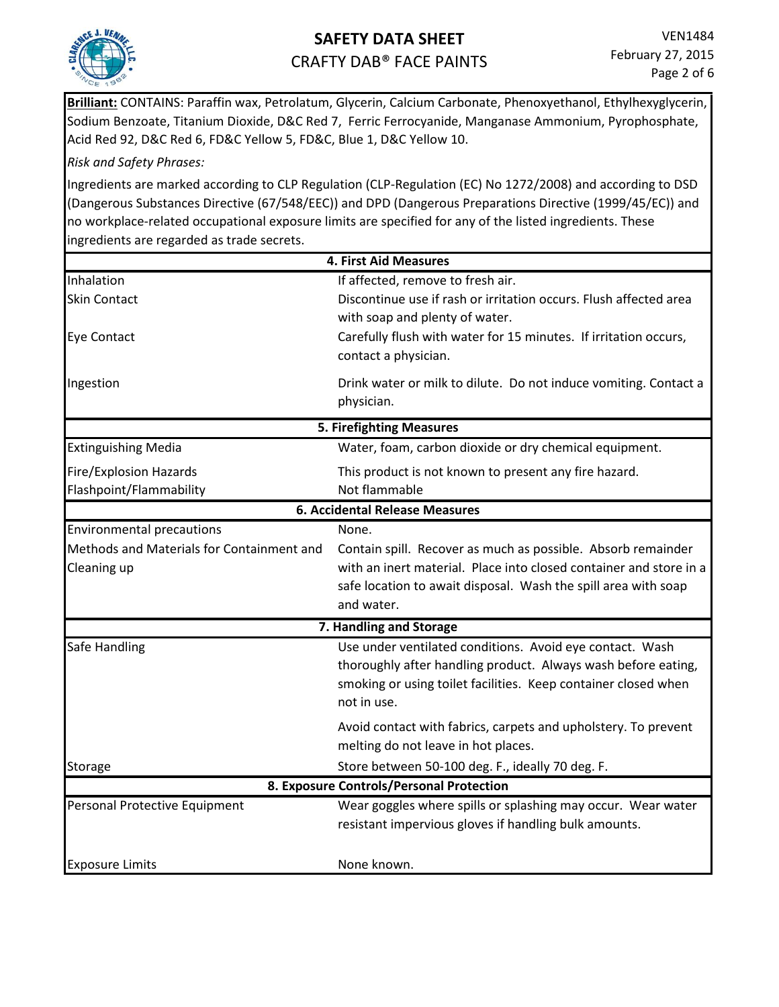

**Brilliant:** CONTAINS: Paraffin wax, Petrolatum, Glycerin, Calcium Carbonate, Phenoxyethanol, Ethylhexyglycerin, Sodium Benzoate, Titanium Dioxide, D&C Red 7, Ferric Ferrocyanide, Manganase Ammonium, Pyrophosphate, Acid Red 92, D&C Red 6, FD&C Yellow 5, FD&C, Blue 1, D&C Yellow 10.

### *Risk and Safety Phrases:*

Ingredients are marked according to CLP Regulation (CLP-Regulation (EC) No 1272/2008) and according to DSD (Dangerous Substances Directive (67/548/EEC)) and DPD (Dangerous Preparations Directive (1999/45/EC)) and no workplace-related occupational exposure limits are specified for any of the listed ingredients. These ingredients are regarded as trade secrets.

|                                           | 4. First Aid Measures                                              |
|-------------------------------------------|--------------------------------------------------------------------|
| Inhalation                                | If affected, remove to fresh air.                                  |
| <b>Skin Contact</b>                       | Discontinue use if rash or irritation occurs. Flush affected area  |
|                                           | with soap and plenty of water.                                     |
| <b>Eye Contact</b>                        | Carefully flush with water for 15 minutes. If irritation occurs,   |
|                                           | contact a physician.                                               |
| Ingestion                                 | Drink water or milk to dilute. Do not induce vomiting. Contact a   |
|                                           | physician.                                                         |
|                                           | <b>5. Firefighting Measures</b>                                    |
| <b>Extinguishing Media</b>                | Water, foam, carbon dioxide or dry chemical equipment.             |
| <b>Fire/Explosion Hazards</b>             | This product is not known to present any fire hazard.              |
| Flashpoint/Flammability                   | Not flammable                                                      |
|                                           | <b>6. Accidental Release Measures</b>                              |
| <b>Environmental precautions</b>          | None.                                                              |
| Methods and Materials for Containment and | Contain spill. Recover as much as possible. Absorb remainder       |
| Cleaning up                               | with an inert material. Place into closed container and store in a |
|                                           | safe location to await disposal. Wash the spill area with soap     |
|                                           | and water.                                                         |
|                                           | 7. Handling and Storage                                            |
| <b>Safe Handling</b>                      | Use under ventilated conditions. Avoid eye contact. Wash           |
|                                           | thoroughly after handling product. Always wash before eating,      |
|                                           | smoking or using toilet facilities. Keep container closed when     |
|                                           | not in use.                                                        |
|                                           | Avoid contact with fabrics, carpets and upholstery. To prevent     |
|                                           | melting do not leave in hot places.                                |
| Storage                                   | Store between 50-100 deg. F., ideally 70 deg. F.                   |
|                                           | 8. Exposure Controls/Personal Protection                           |
| Personal Protective Equipment             | Wear goggles where spills or splashing may occur. Wear water       |
|                                           | resistant impervious gloves if handling bulk amounts.              |
|                                           | None known.                                                        |
| <b>Exposure Limits</b>                    |                                                                    |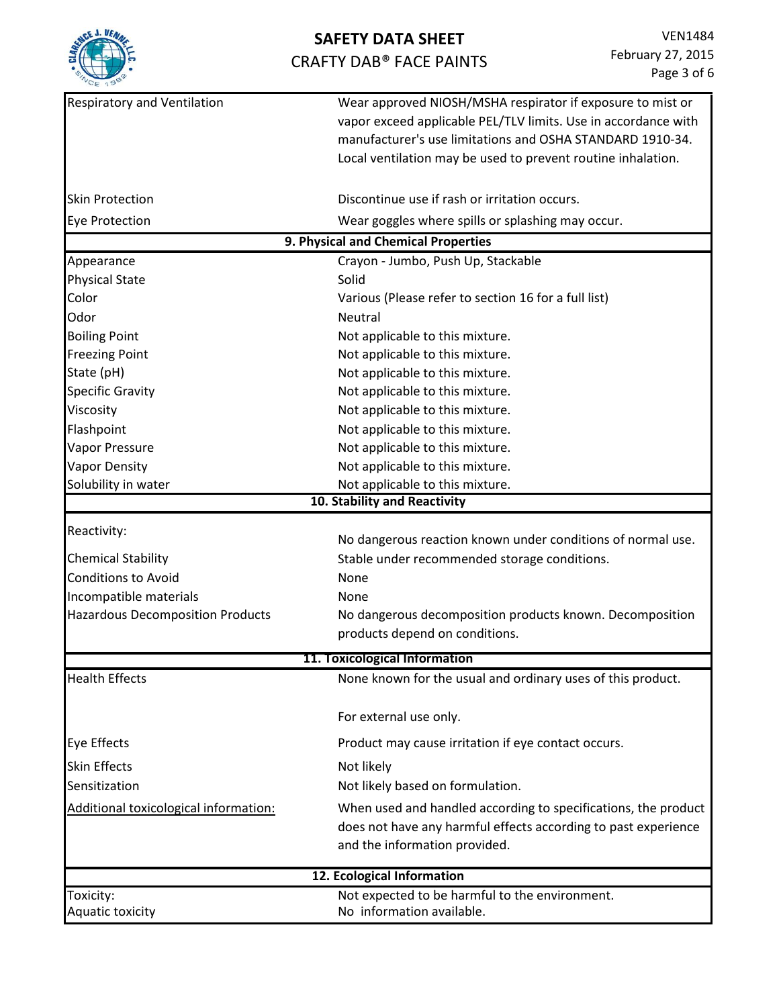

| CE 180                                  |                                                                                                                              |  |  |  |
|-----------------------------------------|------------------------------------------------------------------------------------------------------------------------------|--|--|--|
| <b>Respiratory and Ventilation</b>      | Wear approved NIOSH/MSHA respirator if exposure to mist or<br>vapor exceed applicable PEL/TLV limits. Use in accordance with |  |  |  |
|                                         | manufacturer's use limitations and OSHA STANDARD 1910-34.                                                                    |  |  |  |
|                                         | Local ventilation may be used to prevent routine inhalation.                                                                 |  |  |  |
|                                         |                                                                                                                              |  |  |  |
| <b>Skin Protection</b>                  | Discontinue use if rash or irritation occurs.                                                                                |  |  |  |
| <b>Eye Protection</b>                   | Wear goggles where spills or splashing may occur.                                                                            |  |  |  |
| 9. Physical and Chemical Properties     |                                                                                                                              |  |  |  |
| Appearance                              | Crayon - Jumbo, Push Up, Stackable                                                                                           |  |  |  |
| <b>Physical State</b>                   | Solid                                                                                                                        |  |  |  |
| Color                                   | Various (Please refer to section 16 for a full list)                                                                         |  |  |  |
| Odor                                    | Neutral                                                                                                                      |  |  |  |
| <b>Boiling Point</b>                    | Not applicable to this mixture.                                                                                              |  |  |  |
| <b>Freezing Point</b>                   | Not applicable to this mixture.                                                                                              |  |  |  |
| State (pH)                              | Not applicable to this mixture.                                                                                              |  |  |  |
| <b>Specific Gravity</b>                 | Not applicable to this mixture.                                                                                              |  |  |  |
| Viscosity                               | Not applicable to this mixture.                                                                                              |  |  |  |
| Flashpoint                              | Not applicable to this mixture.                                                                                              |  |  |  |
| Vapor Pressure                          | Not applicable to this mixture.                                                                                              |  |  |  |
| <b>Vapor Density</b>                    | Not applicable to this mixture.                                                                                              |  |  |  |
| Solubility in water                     | Not applicable to this mixture.                                                                                              |  |  |  |
|                                         | 10. Stability and Reactivity                                                                                                 |  |  |  |
| Reactivity:                             |                                                                                                                              |  |  |  |
|                                         | No dangerous reaction known under conditions of normal use.                                                                  |  |  |  |
| <b>Chemical Stability</b>               | Stable under recommended storage conditions.                                                                                 |  |  |  |
| <b>Conditions to Avoid</b>              | None                                                                                                                         |  |  |  |
| Incompatible materials                  | <b>None</b>                                                                                                                  |  |  |  |
| <b>Hazardous Decomposition Products</b> | No dangerous decomposition products known. Decomposition                                                                     |  |  |  |
|                                         | products depend on conditions.                                                                                               |  |  |  |
|                                         | 11. Toxicological Information                                                                                                |  |  |  |
| <b>Health Effects</b>                   | None known for the usual and ordinary uses of this product.                                                                  |  |  |  |
|                                         | For external use only.                                                                                                       |  |  |  |
| <b>Eye Effects</b>                      | Product may cause irritation if eye contact occurs.                                                                          |  |  |  |
| <b>Skin Effects</b>                     | Not likely                                                                                                                   |  |  |  |
| Sensitization                           | Not likely based on formulation.                                                                                             |  |  |  |
| Additional toxicological information:   | When used and handled according to specifications, the product                                                               |  |  |  |
|                                         | does not have any harmful effects according to past experience                                                               |  |  |  |
|                                         | and the information provided.                                                                                                |  |  |  |
|                                         | 12. Ecological Information                                                                                                   |  |  |  |
| Toxicity:                               | Not expected to be harmful to the environment.                                                                               |  |  |  |
| Aquatic toxicity                        | No information available.                                                                                                    |  |  |  |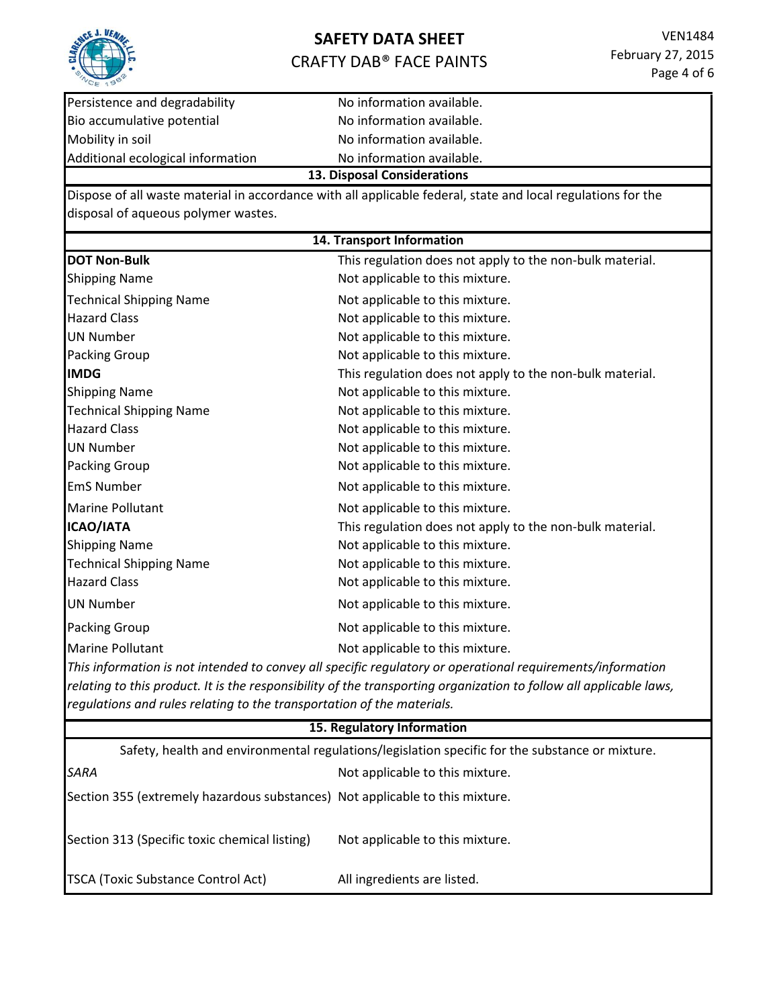

Bio accumulative potential example and No information available. Mobility in soil and the Mondo Mondo No information available. Additional ecological information No information available.

Persistence and degradability No information available. **13. Disposal Considerations**

Dispose of all waste material in accordance with all applicable federal, state and local regulations for the disposal of aqueous polymer wastes.

**DOT Non-Bulk This regulation does not apply to the non-bulk material.** Shipping Name **Not applicable to this mixture.** Technical Shipping Name Not applicable to this mixture. Hazard Class **Not applicable to this mixture.** UN Number Not applicable to this mixture. Packing Group **Not applicable to this mixture. IMDG** This regulation does not apply to the non-bulk material. Shipping Name **Not applicable to this mixture.** Technical Shipping Name Not applicable to this mixture. Hazard Class **Not applicable to this mixture.** UN Number **Not applicable to this mixture.** Packing Group **Not applicable to this mixture.** EmS Number **Not applicable to this mixture.** Marine Pollutant **Not applicable to this mixture. ICAO/IATA** This regulation does not apply to the non-bulk material. Shipping Name **Not applicable to this mixture.** Technical Shipping Name Not applicable to this mixture. Hazard Class **Not applicable to this mixture.** UN Number Not applicable to this mixture. Packing Group **Not applicable to this mixture.** Marine Pollutant **Not applicable to this mixture. 14. Transport Information**

*This information is not intended to convey all specific regulatory or operational requirements/information*  relating to this product. It is the responsibility of the transporting organization to follow all applicable laws, *regulations and rules relating to the transportation of the materials.* 

### **15. Regulatory Information**

| Safety, health and environmental regulations/legislation specific for the substance or mixture. |                                 |  |
|-------------------------------------------------------------------------------------------------|---------------------------------|--|
| SARA                                                                                            | Not applicable to this mixture. |  |
| Section 355 (extremely hazardous substances) Not applicable to this mixture.                    |                                 |  |
| Section 313 (Specific toxic chemical listing)                                                   | Not applicable to this mixture. |  |
| TSCA (Toxic Substance Control Act)                                                              | All ingredients are listed.     |  |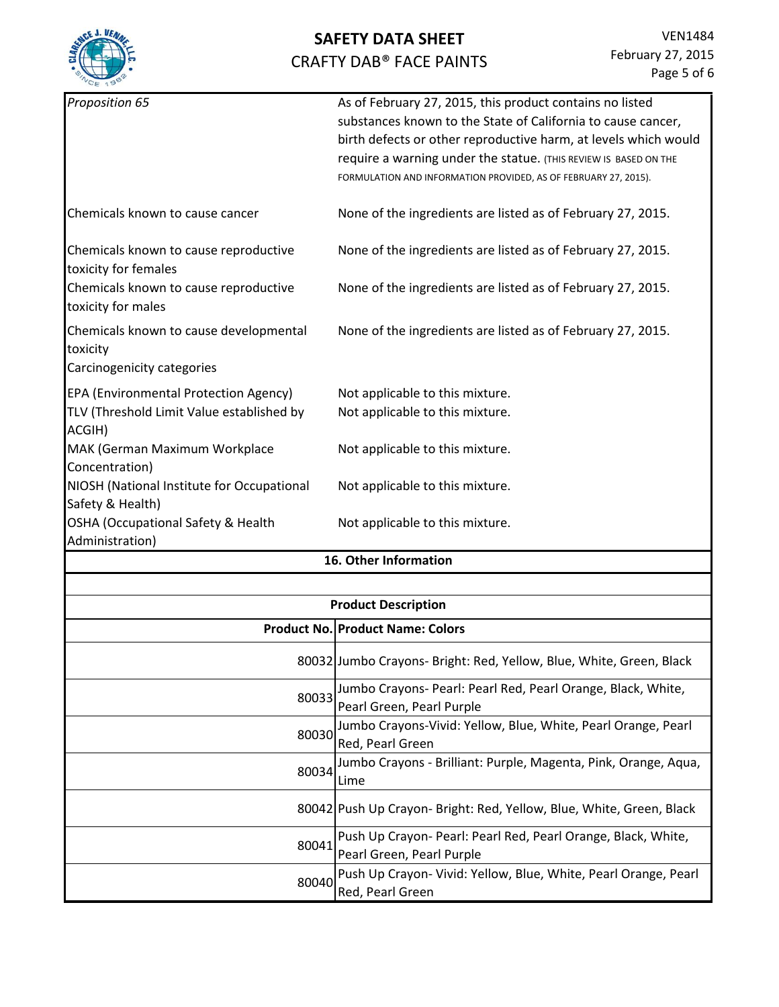

| Not applicable to this mixture.<br>Not applicable to this mixture.<br>Not applicable to this mixture.<br>Not applicable to this mixture.<br>Not applicable to this mixture. |
|-----------------------------------------------------------------------------------------------------------------------------------------------------------------------------|
|                                                                                                                                                                             |
|                                                                                                                                                                             |
|                                                                                                                                                                             |
|                                                                                                                                                                             |
|                                                                                                                                                                             |
|                                                                                                                                                                             |
|                                                                                                                                                                             |
| None of the ingredients are listed as of February 27, 2015.                                                                                                                 |
| None of the ingredients are listed as of February 27, 2015.                                                                                                                 |
| None of the ingredients are listed as of February 27, 2015.                                                                                                                 |
| None of the ingredients are listed as of February 27, 2015.                                                                                                                 |
| FORMULATION AND INFORMATION PROVIDED, AS OF FEBRUARY 27, 2015).                                                                                                             |
| require a warning under the statue. (THIS REVIEW IS BASED ON THE                                                                                                            |
| substances known to the State of California to cause cancer,<br>birth defects or other reproductive harm, at levels which would                                             |
| As of February 27, 2015, this product contains no listed                                                                                                                    |

| <b>Product Description</b> |                                                                                            |  |
|----------------------------|--------------------------------------------------------------------------------------------|--|
|                            | <b>Product No. Product Name: Colors</b>                                                    |  |
|                            | 80032 Jumbo Crayons- Bright: Red, Yellow, Blue, White, Green, Black                        |  |
| 80033                      | Jumbo Crayons- Pearl: Pearl Red, Pearl Orange, Black, White,<br>Pearl Green, Pearl Purple  |  |
| 80030                      | Jumbo Crayons-Vivid: Yellow, Blue, White, Pearl Orange, Pearl<br>Red, Pearl Green          |  |
| 80034                      | Jumbo Crayons - Brilliant: Purple, Magenta, Pink, Orange, Aqua,<br>Lime                    |  |
|                            | 80042 Push Up Crayon- Bright: Red, Yellow, Blue, White, Green, Black                       |  |
| 80041                      | Push Up Crayon- Pearl: Pearl Red, Pearl Orange, Black, White,<br>Pearl Green, Pearl Purple |  |
| 80040                      | Push Up Crayon- Vivid: Yellow, Blue, White, Pearl Orange, Pearl<br>Red, Pearl Green        |  |